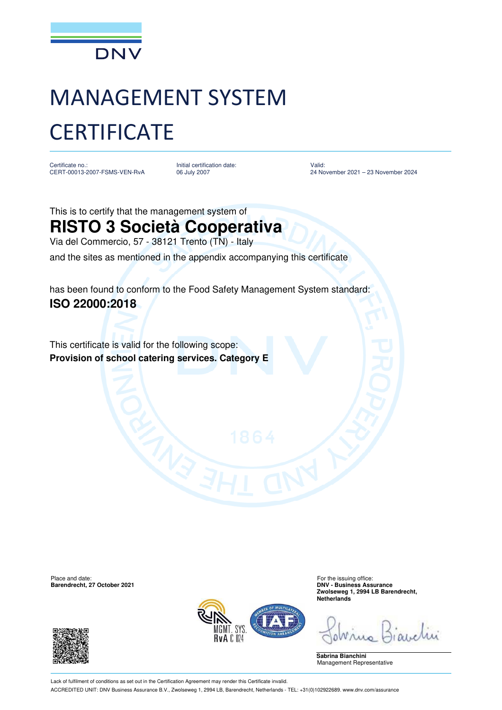

## MANAGEMENT SYSTEM **CERTIFICATE**

Certificate no.: CERT-00013-2007-FSMS-VEN-RvA Initial certification date: 06 July 2007

Valid: 24 November 2021 – 23 November 2024

This is to certify that the management system of **RISTO 3 Società Cooperativa** Via del Commercio, 57 - 38121 Trento (TN) - Italy and the sites as mentioned in the appendix accompanying this certificate

has been found to conform to the Food Safety Management System standard: **ISO 22000:2018**

This certificate is valid for the following scope: **Provision of school catering services. Category E** 

Place and date: For the issuing office:<br> **Barendrecht, 27 October 2021** Contract Contract Contract Contract Contract Contract Contract Contract Contract Contract Contract Contract Contract Contract Contract Contract Contra **Barendrecht, 27 October 2021** 





**Zwolseweg 1, 2994 LB Barendrecht, Netherlands**

**Sabrina Bianchini** Management Representative

Lack of fulfilment of conditions as set out in the Certification Agreement may render this Certificate invalid. ACCREDITED UNIT: DNV Business Assurance B.V., Zwolseweg 1, 2994 LB, Barendrecht, Netherlands - TEL: +31(0)102922689. www.dnv.com/assurance